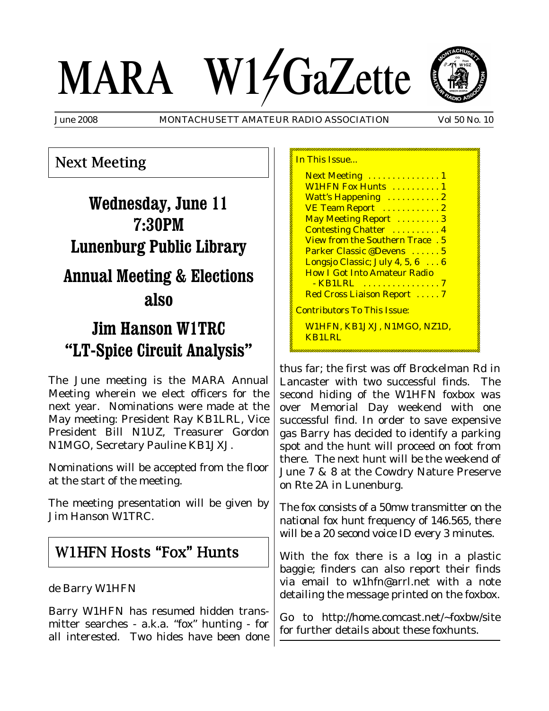# MARA W14GaZette



June 2008 MONTACHUSETT AMATEUR RADIO ASSOCIATION Vol 50 No. 10

In This Issue.

# Next Meeting

# **Wednesday, June 11 7:30PM Lunenburg Public Library Annual Meeting & Elections also**

# **Jim Hanson W1TRC "LT-Spice Circuit Analysis"**

The June meeting is the MARA Annual Meeting wherein we elect officers for the next year. Nominations were made at the May meeting: President Ray KB1LRL, Vice President Bill N1UZ, Treasurer Gordon N1MGO, Secretary Pauline KB1JXJ.

Nominations will be accepted from the floor at the start of the meeting.

The meeting presentation will be given by Jim Hanson W1TRC.

## W1HFN Hosts "Fox" Hunts

## de Barry W1HFN

Barry W1HFN has resumed hidden transmitter searches - a.k.a. "fox" hunting - for all interested. Two hides have been done

| Next Meeting  1                        |  |
|----------------------------------------|--|
| W1HFN Fox Hunts  1                     |  |
| Watt's Happening  2                    |  |
| VE Team Report  2                      |  |
| May Meeting Report  3                  |  |
| <b>Contesting Chatter</b> 4            |  |
| <b>View from the Southern Trace. 5</b> |  |
| Parker Classic @Devens  5              |  |
| Longsjo Classic; July 4, 5, 6 6        |  |
| <b>How I Got Into Amateur Radio</b>    |  |
|                                        |  |
| Red Cross Liaison Report  7            |  |
| <u> Contributors To This Issue:</u>    |  |
| W1HFN, KB1JXJ, N1MGO, NZ1D,<br>KB1LRL  |  |
|                                        |  |

thus far; the first was off Brockelman Rd in Lancaster with two successful finds. The second hiding of the W1HFN foxbox was over Memorial Day weekend with one successful find. In order to save expensive gas Barry has decided to identify a parking spot and the hunt will proceed on foot from there. The next hunt will be the weekend of June 7 & 8 at the Cowdry Nature Preserve on Rte 2A in Lunenburg.

The fox consists of a 50mw transmitter on the national fox hunt frequency of 146.565, there will be a 20 second voice ID every 3 minutes.

With the fox there is a log in a plastic baggie; finders can also report their finds via email to w1hfn@arrl.net with a note detailing the message printed on the foxbox.

Go to http://home.comcast.net/~foxbw/site for further details about these foxhunts.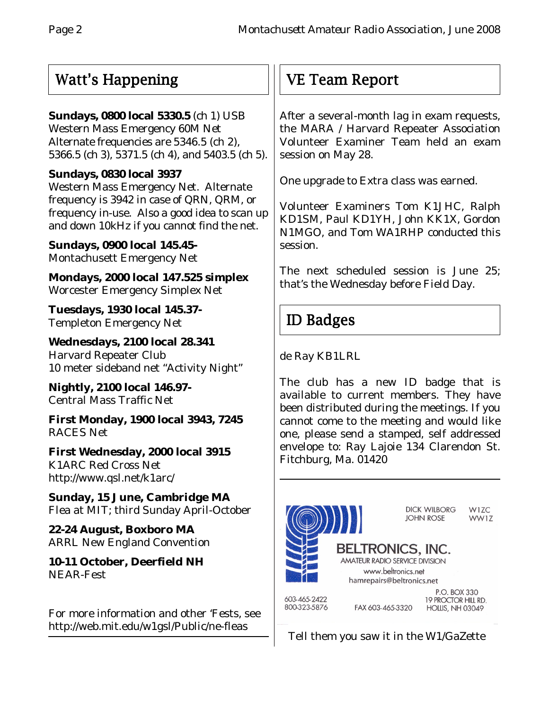## Watt's Happening

## **Sundays, 0800 local 5330.5** (ch 1) USB

Western Mass Emergency 60M Net Alternate frequencies are 5346.5 (ch 2), 5366.5 (ch 3), 5371.5 (ch 4), and 5403.5 (ch 5).

## **Sundays, 0830 local 3937**

Western Mass Emergency Net. Alternate frequency is 3942 in case of QRN, QRM, or frequency in-use. Also a good idea to scan up and down 10kHz if you cannot find the net.

**Sundays, 0900 local 145.45-** Montachusett Emergency Net

**Mondays, 2000 local 147.525 simplex** Worcester Emergency Simplex Net

**Tuesdays, 1930 local 145.37-** Templeton Emergency Net

**Wednesdays, 2100 local 28.341** Harvard Repeater Club 10 meter sideband net "Activity Night"

**Nightly, 2100 local 146.97-** Central Mass Traffic Net

**First Monday, 1900 local 3943, 7245** RACES Net

**First Wednesday, 2000 local 3915** K1ARC Red Cross Net http://www.qsl.net/k1arc/

**Sunday, 15 June, Cambridge MA** Flea at MIT; third Sunday April-October

**22-24 August, Boxboro MA** ARRL New England Convention

**10-11 October, Deerfield NH** NEAR-Fest

For more information and other 'Fests, see http://web.mit.edu/w1gsl/Public/ne-fleas

# VE Team Report

After a several-month lag in exam requests, the MARA / Harvard Repeater Association Volunteer Examiner Team held an exam session on May 28.

One upgrade to Extra class was earned.

Volunteer Examiners Tom K1JHC, Ralph KD1SM, Paul KD1YH, John KK1X, Gordon N1MGO, and Tom WA1RHP conducted this session.

The next scheduled session is June 25; that's the Wednesday before Field Day.

## ID Badges

de Ray KB1LRL

The club has a new ID badge that is available to current members. They have been distributed during the meetings. If you cannot come to the meeting and would like one, please send a stamped, self addressed envelope to: Ray Lajoie 134 Clarendon St. Fitchburg, Ma. 01420



Tell them you saw it in the W1/GaZette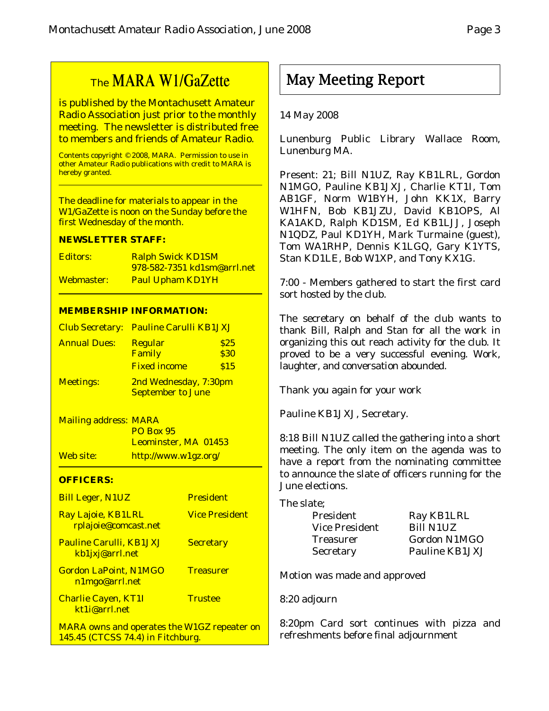# The MARA W1/GaZette

is published by the Montachusett Amateur Radio Association just prior to the monthly meeting. The newsletter is distributed free to members and friends of Amateur Radio.

Contents copyright © 2008, MARA. Permission to use in other Amateur Radio publications with credit to MARA is hereby granted.

The deadline for materials to appear in the W1/GaZette is noon on the Sunday before the first Wednesday of the month.

#### **NEWSLETTER STAFF:**

| Editors:   | <b>Ralph Swick KD1SM</b>    |
|------------|-----------------------------|
|            | 978-582-7351 kd1sm@arrl.net |
| Webmaster: | <b>Paul Upham KD1YH</b>     |

#### **MEMBERSHIP INFORMATION:**

|                     | Club Secretary: Pauline Carulli KB1JXJ            |              |
|---------------------|---------------------------------------------------|--------------|
| <b>Annual Dues:</b> | <b>Regular</b><br>Family                          | \$25<br>\$30 |
|                     | <b>Fixed income</b>                               | \$15         |
| <b>Meetings:</b>    | 2nd Wednesday, 7:30pm<br><b>September to June</b> |              |

Mailing address: MARA PO Box 95 Leominster, MA 01453 Web site: http://www.w1gz.org/

#### **OFFICERS:**

| <b>Bill Leger, N1UZ</b>                                                                 | <b>President</b>      |
|-----------------------------------------------------------------------------------------|-----------------------|
| Ray Lajoie, KB1LRL<br>rplajoie@comcast.net                                              | <b>Vice President</b> |
| <b>Pauline Carulli, KB1JXJ</b><br>kb1jxj@arrl.net                                       | <b>Secretary</b>      |
| <b>Gordon LaPoint, N1MGO</b><br>n1mgo@arrl.net                                          | <b>Treasurer</b>      |
| <b>Charlie Cayen, KT1I</b><br>kt1i@arrl.net                                             | <b>Trustee</b>        |
| <b>MARA owns and operates the W1GZ repeater on</b><br>145.45 (CTCSS 74.4) in Fitchburg. |                       |

14 May 2008

Lunenburg Public Library Wallace Room, Lunenburg MA.

May Meeting Report

Present: 21; Bill N1UZ, Ray KB1LRL, Gordon N1MGO, Pauline KB1JXJ, Charlie KT1I, Tom AB1GF, Norm W1BYH, John KK1X, Barry W1HFN, Bob KB1JZU, David KB1OPS, Al KA1AKD, Ralph KD1SM, Ed KB1LJJ, Joseph N1QDZ, Paul KD1YH, Mark Turmaine (guest), Tom WA1RHP, Dennis K1LGQ, Gary K1YTS, Stan KD1LE, Bob W1XP, and Tony KX1G.

7:00 - Members gathered to start the first card sort hosted by the club.

The secretary on behalf of the club wants to thank Bill, Ralph and Stan for all the work in organizing this out reach activity for the club. It proved to be a very successful evening. Work, laughter, and conversation abounded.

Thank you again for your work

Pauline KB1JXJ, Secretary.

8:18 Bill N1UZ called the gathering into a short meeting. The only item on the agenda was to have a report from the nominating committee to announce the slate of officers running for the June elections.

| The slate;                   |                  |  |  |  |
|------------------------------|------------------|--|--|--|
| President                    | Ray KB1LRL       |  |  |  |
| <b>Vice President</b>        | <b>Bill N1UZ</b> |  |  |  |
| <b>Treasurer</b>             | Gordon N1MGO     |  |  |  |
| Secretary                    | Pauline KB1JXJ   |  |  |  |
| Motion was made and annroved |                  |  |  |  |

Motion was made and approved

8:20 adjourn

8:20pm Card sort continues with pizza and refreshments before final adjournment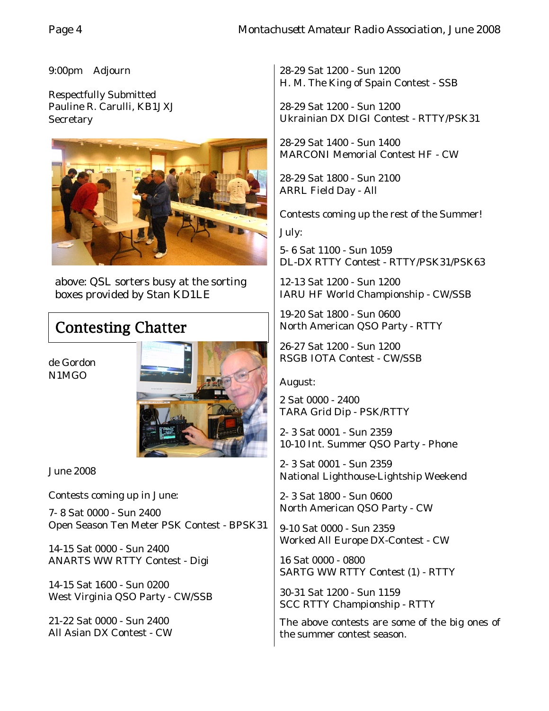9:00pm Adjourn

Respectfully Submitted Pauline R. Carulli, KB1JXJ **Secretary** 



above: QSL sorters busy at the sorting boxes provided by Stan KD1LE

# Contesting Chatter

de Gordon N1MGO



June 2008

Contests coming up in June:

7- 8 Sat 0000 - Sun 2400 Open Season Ten Meter PSK Contest - BPSK31

14-15 Sat 0000 - Sun 2400 ANARTS WW RTTY Contest - Digi

14-15 Sat 1600 - Sun 0200 West Virginia QSO Party - CW/SSB

21-22 Sat 0000 - Sun 2400 All Asian DX Contest - CW

28-29 Sat 1200 - Sun 1200 H. M. The King of Spain Contest - SSB

28-29 Sat 1200 - Sun 1200 Ukrainian DX DIGI Contest - RTTY/PSK31

28-29 Sat 1400 - Sun 1400 MARCONI Memorial Contest HF - CW

28-29 Sat 1800 - Sun 2100 ARRL Field Day - All

Contests coming up the rest of the Summer! July:

5- 6 Sat 1100 - Sun 1059 DL-DX RTTY Contest - RTTY/PSK31/PSK63

12-13 Sat 1200 - Sun 1200 IARU HF World Championship - CW/SSB

19-20 Sat 1800 - Sun 0600 North American QSO Party - RTTY

26-27 Sat 1200 - Sun 1200 RSGB IOTA Contest - CW/SSB

August:

2 Sat 0000 - 2400 TARA Grid Dip - PSK/RTTY

2- 3 Sat 0001 - Sun 2359 10-10 Int. Summer QSO Party - Phone

2- 3 Sat 0001 - Sun 2359 National Lighthouse-Lightship Weekend

2- 3 Sat 1800 - Sun 0600 North American QSO Party - CW

9-10 Sat 0000 - Sun 2359 Worked All Europe DX-Contest - CW

16 Sat 0000 - 0800 SARTG WW RTTY Contest (1) - RTTY

30-31 Sat 1200 - Sun 1159 SCC RTTY Championship - RTTY

The above contests are some of the big ones of the summer contest season.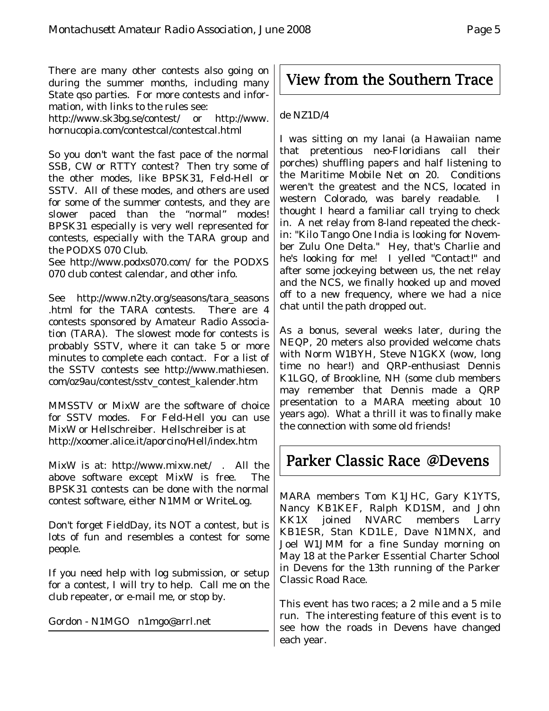There are many other contests also going on during the summer months, including many State qso parties. For more contests and information, with links to the rules see:

http://www.sk3bg.se/contest/ or http://www. hornucopia.com/contestcal/contestcal.html

So you don't want the fast pace of the normal SSB, CW or RTTY contest? Then try some of the other modes, like BPSK31, Feld-Hell or SSTV. All of these modes, and others are used for some of the summer contests, and they are slower paced than the "normal" modes! BPSK31 especially is very well represented for contests, especially with the TARA group and the PODXS 070 Club.

See http://www.podxs070.com/ for the PODXS 070 club contest calendar, and other info.

See http://www.n2ty.org/seasons/tara\_seasons .html for the TARA contests. There are 4 contests sponsored by Amateur Radio Association (TARA). The slowest mode for contests is probably SSTV, where it can take 5 or more minutes to complete each contact. For a list of the SSTV contests see http://www.mathiesen. com/oz9au/contest/sstv\_contest\_kalender.htm

MMSSTV or MixW are the software of choice for SSTV modes. For Feld-Hell you can use MixW or Hellschreiber. Hellschreiber is at http://xoomer.alice.it/aporcino/Hell/index.htm

MixW is at: http://www.mixw.net/ . All the above software except MixW is free. The BPSK31 contests can be done with the normal contest software, either N1MM or WriteLog.

Don't forget FieldDay, its NOT a contest, but is lots of fun and resembles a contest for some people.

If you need help with log submission, or setup for a contest, I will try to help. Call me on the club repeater, or e-mail me, or stop by.

Gordon - N1MGO n1mgo@arrl.net

# View from the Southern Trace

#### de NZ1D/4

I was sitting on my lanai (a Hawaiian name that pretentious neo-Floridians call their porches) shuffling papers and half listening to the Maritime Mobile Net on 20. Conditions weren't the greatest and the NCS, located in western Colorado, was barely readable. thought I heard a familiar call trying to check in. A net relay from 8-land repeated the checkin: "Kilo Tango One India is looking for November Zulu One Delta." Hey, that's Charlie and he's looking for me! I yelled "Contact!" and after some jockeying between us, the net relay and the NCS, we finally hooked up and moved off to a new frequency, where we had a nice chat until the path dropped out.

As a bonus, several weeks later, during the NEQP, 20 meters also provided welcome chats with Norm W1BYH, Steve N1GKX (wow, long time no hear!) and QRP-enthusiast Dennis K1LGQ, of Brookline, NH (some club members may remember that Dennis made a QRP presentation to a MARA meeting about 10 years ago). What a thrill it was to finally make the connection with some old friends!

## Parker Classic Race @Devens

MARA members Tom K1JHC, Gary K1YTS, Nancy KB1KEF, Ralph KD1SM, and John KK1X joined NVARC members Larry KB1ESR, Stan KD1LE, Dave N1MNX, and Joel W1JMM for a fine Sunday morning on May 18 at the Parker Essential Charter School in Devens for the 13th running of the Parker Classic Road Race.

This event has two races; a 2 mile and a 5 mile run. The interesting feature of this event is to see how the roads in Devens have changed each year.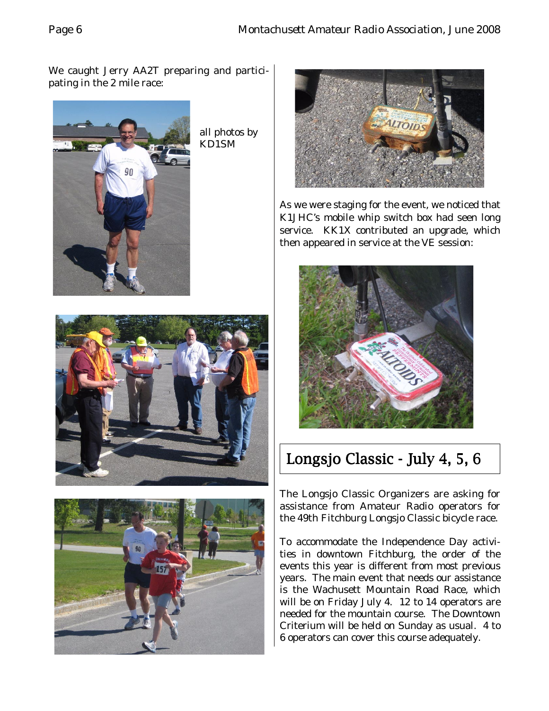We caught Jerry AA2T preparing and participating in the 2 mile race:



all photos by KD1SM



As we were staging for the event, we noticed that K1JHC's mobile whip switch box had seen long service. KK1X contributed an upgrade, which then appeared in service at the VE session:







# Longsjo Classic - July 4, 5, 6

The Longsjo Classic Organizers are asking for assistance from Amateur Radio operators for the 49th Fitchburg Longsjo Classic bicycle race.

To accommodate the Independence Day activities in downtown Fitchburg, the order of the events this year is different from most previous years. The main event that needs our assistance is the Wachusett Mountain Road Race, which will be on Friday July 4. 12 to 14 operators are needed for the mountain course. The Downtown Criterium will be held on Sunday as usual. 4 to 6 operators can cover this course adequately.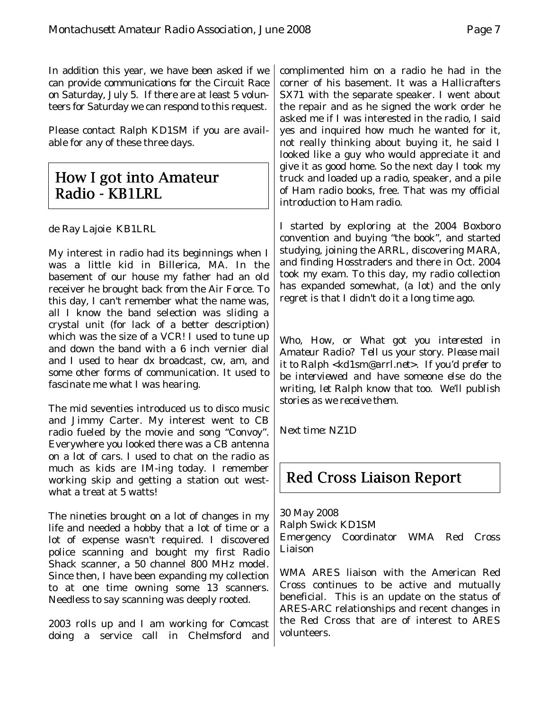In addition this year, we have been asked if we can provide communications for the Circuit Race on Saturday, July 5.If there are at least 5 volunteers for Saturday we can respond to this request.

Please contact Ralph KD1SM if you are available for any of these three days.

## How I got into Amateur Radio - KB1LRL

de Ray Lajoie KB1LRL

My interest in radio had its beginnings when I was a little kid in Billerica, MA. In the basement of our house my father had an old receiver he brought back from the Air Force. To this day, I can't remember what the name was, all I know the band selection was sliding a crystal unit (for lack of a better description) which was the size of a VCR! I used to tune up and down the band with a 6 inch vernier dial and I used to hear dx broadcast, cw, am, and some other forms of communication. It used to fascinate me what I was hearing.

The mid seventies introduced us to disco music and Jimmy Carter. My interest went to CB radio fueled by the movie and song "Convoy". Everywhere you looked there was a CB antenna on a lot of cars. I used to chat on the radio as much as kids are IM-ing today. I remember working skip and getting a station out westwhat a treat at 5 watts!

The nineties brought on a lot of changes in my life and needed a hobby that a lot of time or a lot of expense wasn't required. I discovered police scanning and bought my first Radio Shack scanner, a 50 channel 800 MHz model. Since then, I have been expanding my collection to at one time owning some 13 scanners. Needless to say scanning was deeply rooted.

2003 rolls up and I am working for Comcast doing a service call in Chelmsford and complimented him on a radio he had in the corner of his basement. It was a Hallicrafters SX71 with the separate speaker. I went about the repair and as he signed the work order he asked me if I was interested in the radio, I said yes and inquired how much he wanted for it, not really thinking about buying it, he said I looked like a guy who would appreciate it and give it as good home. So the next day I took my truck and loaded up a radio, speaker, and a pile of Ham radio books, free. That was my official introduction to Ham radio.

I started by exploring at the 2004 Boxboro convention and buying "the book", and started studying, joining the ARRL, discovering MARA, and finding Hosstraders and there in Oct. 2004 took my exam. To this day, my radio collection has expanded somewhat, (a lot) and the only regret is that I didn't do it a long time ago.

*Who, How, or What got you interested in Amateur Radio? Tell us your story. Please mail it to Ralph <kd1sm@arrl.net>. If you'd prefer to be interviewed and have someone else do the writing, let Ralph know that too. We'll publish stories as we receive them.*

*Next time: NZ1D*

## Red Cross Liaison Report

30 May 2008 Ralph Swick KD1SM Emergency Coordinator WMA Red Cross Liaison

WMA ARES liaison with the American Red Cross continues to be active and mutually beneficial. This is an update on the status of ARES-ARC relationships and recent changes in the Red Cross that are of interest to ARES volunteers.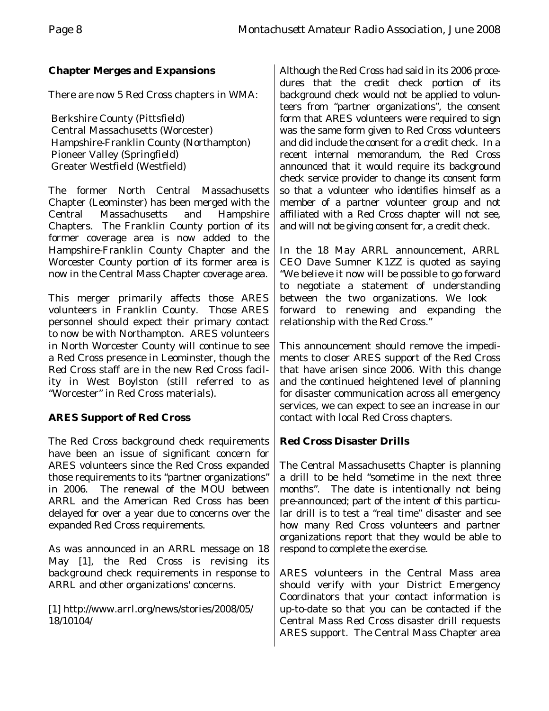## **Chapter Merges and Expansions**

There are now 5 Red Cross chapters in WMA:

 Berkshire County (Pittsfield) Central Massachusetts (Worcester) Hampshire-Franklin County (Northampton) Pioneer Valley (Springfield) Greater Westfield (Westfield)

The former North Central Massachusetts Chapter (Leominster) has been merged with the Central Massachusetts and Hampshire Chapters. The Franklin County portion of its former coverage area is now added to the Hampshire-Franklin County Chapter and the Worcester County portion of its former area is now in the Central Mass Chapter coverage area.

This merger primarily affects those ARES volunteers in Franklin County. Those ARES personnel should expect their primary contact to now be with Northampton. ARES volunteers in North Worcester County will continue to see a Red Cross presence in Leominster, though the Red Cross staff are in the new Red Cross facility in West Boylston (still referred to as "Worcester" in Red Cross materials).

## **ARES Support of Red Cross**

The Red Cross background check requirements have been an issue of significant concern for ARES volunteers since the Red Cross expanded those requirements to its "partner organizations" in 2006. The renewal of the MOU between ARRL and the American Red Cross has been delayed for over a year due to concerns over the expanded Red Cross requirements.

As was announced in an ARRL message on 18 May [1], the Red Cross is revising its background check requirements in response to ARRL and other organizations' concerns.

[1] http://www.arrl.org/news/stories/2008/05/ 18/10104/

Although the Red Cross had said in its 2006 procedures that the credit check portion of its background check would not be applied to volunteers from "partner organizations", the consent form that ARES volunteers were required to sign was the same form given to Red Cross volunteers and did include the consent for a credit check. In a recent internal memorandum, the Red Cross announced that it would require its background check service provider to change its consent form so that a volunteer who identifies himself as a member of a partner volunteer group and not affiliated with a Red Cross chapter will not see, and will not be giving consent for, a credit check.

In the 18 May ARRL announcement, ARRL CEO Dave Sumner K1ZZ is quoted as saying "We believe it now will be possible to go forward to negotiate a statement of understanding between the two organizations. We look forward to renewing and expanding the relationship with the Red Cross."

This announcement should remove the impediments to closer ARES support of the Red Cross that have arisen since 2006. With this change and the continued heightened level of planning for disaster communication across all emergency services, we can expect to see an increase in our contact with local Red Cross chapters.

## **Red Cross Disaster Drills**

The Central Massachusetts Chapter is planning a drill to be held "sometime in the next three months". The date is intentionally not being pre-announced; part of the intent of this particular drill is to test a "real time" disaster and see how many Red Cross volunteers and partner organizations report that they would be able to respond to complete the exercise.

ARES volunteers in the Central Mass area should verify with your District Emergency Coordinators that your contact information is up-to-date so that you can be contacted if the Central Mass Red Cross disaster drill requests ARES support. The Central Mass Chapter area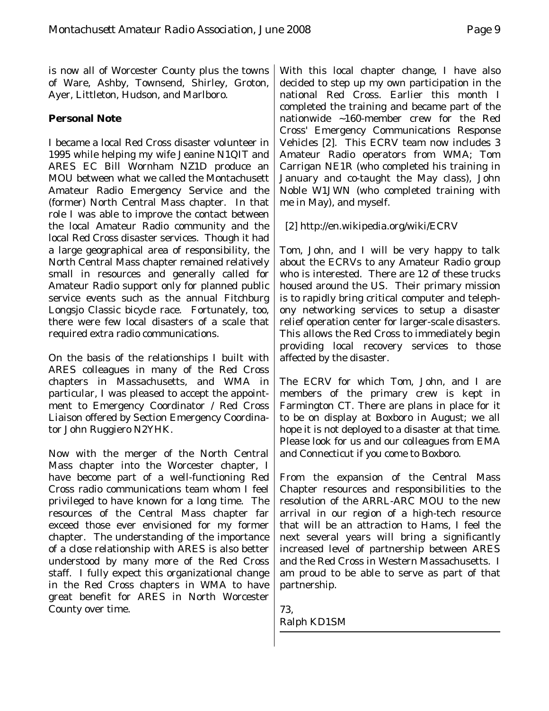is now all of Worcester County plus the towns of Ware, Ashby, Townsend, Shirley, Groton, Ayer, Littleton, Hudson, and Marlboro.

#### **Personal Note**

I became a local Red Cross disaster volunteer in 1995 while helping my wife Jeanine N1QIT and ARES EC Bill Wornham NZ1D produce an MOU between what we called the Montachusett Amateur Radio Emergency Service and the (former) North Central Mass chapter. In that role I was able to improve the contact between the local Amateur Radio community and the local Red Cross disaster services. Though it had a large geographical area of responsibility, the North Central Mass chapter remained relatively small in resources and generally called for Amateur Radio support only for planned public service events such as the annual Fitchburg Longsjo Classic bicycle race. Fortunately, too, there were few local disasters of a scale that required extra radio communications.

On the basis of the relationships I built with ARES colleagues in many of the Red Cross chapters in Massachusetts, and WMA in particular, I was pleased to accept the appointment to Emergency Coordinator / Red Cross Liaison offered by Section Emergency Coordinator John Ruggiero N2YHK.

Now with the merger of the North Central Mass chapter into the Worcester chapter, I have become part of a well-functioning Red Cross radio communications team whom I feel privileged to have known for a long time. The resources of the Central Mass chapter far exceed those ever envisioned for my former chapter. The understanding of the importance of a close relationship with ARES is also better understood by many more of the Red Cross staff. I fully expect this organizational change in the Red Cross chapters in WMA to have great benefit for ARES in North Worcester County over time.

With this local chapter change, I have also decided to step up my own participation in the national Red Cross. Earlier this month I completed the training and became part of the nationwide ~160-member crew for the Red Cross' Emergency Communications Response Vehicles [2]. This ECRV team now includes 3 Amateur Radio operators from WMA; Tom Carrigan NE1R (who completed his training in January and co-taught the May class), John Noble W1JWN (who completed training with me in May), and myself.

[2] http://en.wikipedia.org/wiki/ECRV

Tom, John, and I will be very happy to talk about the ECRVs to any Amateur Radio group who is interested. There are 12 of these trucks housed around the US. Their primary mission is to rapidly bring critical computer and telephony networking services to setup a disaster relief operation center for larger-scale disasters. This allows the Red Cross to immediately begin providing local recovery services to those affected by the disaster.

The ECRV for which Tom, John, and I are members of the primary crew is kept in Farmington CT. There are plans in place for it to be on display at Boxboro in August; we all hope it is not deployed to a disaster at that time. Please look for us and our colleagues from EMA and Connecticut if you come to Boxboro.

From the expansion of the Central Mass Chapter resources and responsibilities to the resolution of the ARRL-ARC MOU to the new arrival in our region of a high-tech resource that will be an attraction to Hams, I feel the next several years will bring a significantly increased level of partnership between ARES and the Red Cross in Western Massachusetts. I am proud to be able to serve as part of that partnership.

73, Ralph KD1SM